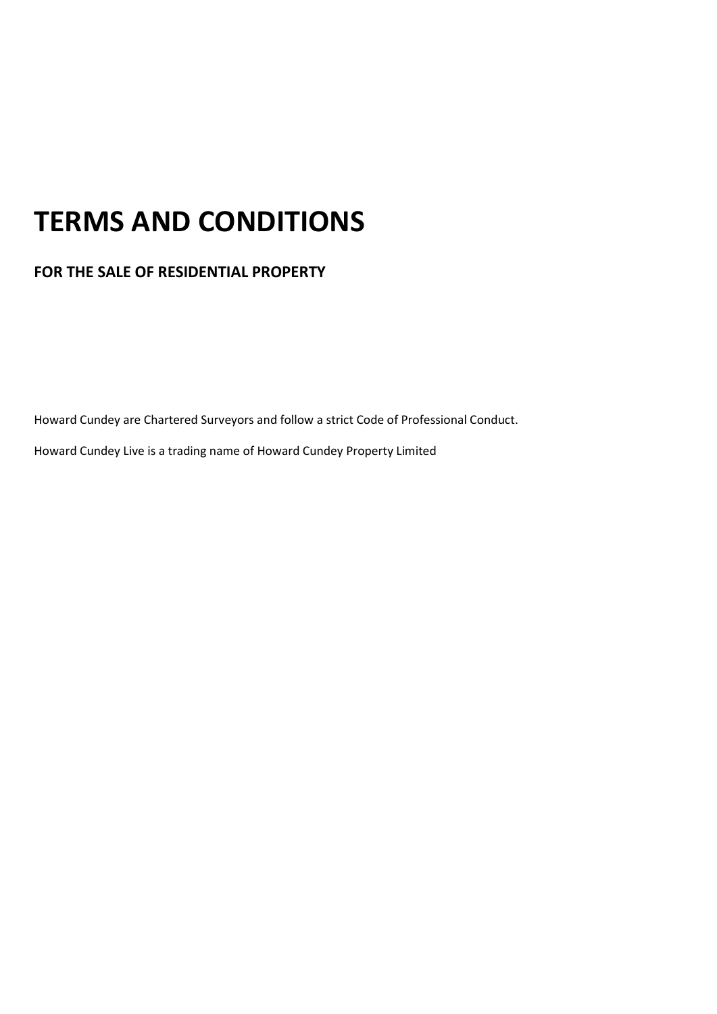# TERMS AND CONDITIONS

FOR THE SALE OF RESIDENTIAL PROPERTY

Howard Cundey are Chartered Surveyors and follow a strict Code of Professional Conduct.

Howard Cundey Live is a trading name of Howard Cundey Property Limited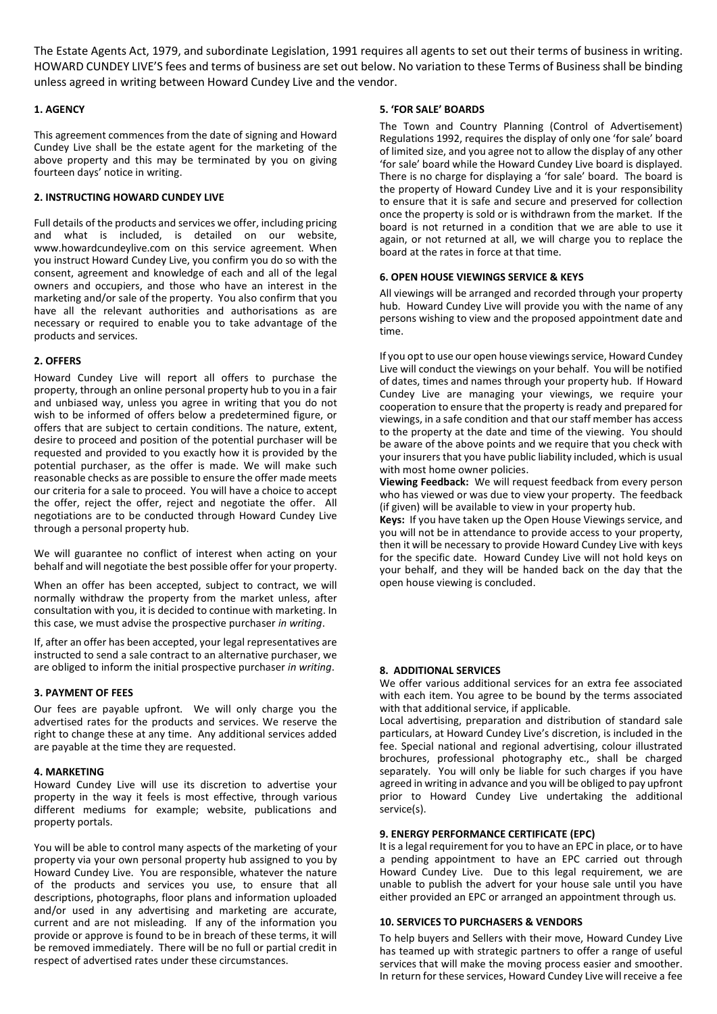The Estate Agents Act, 1979, and subordinate Legislation, 1991 requires all agents to set out their terms of business in writing. HOWARD CUNDEY LIVE'S fees and terms of business are set out below. No variation to these Terms of Business shall be binding unless agreed in writing between Howard Cundey Live and the vendor.

## 1. AGENCY

This agreement commences from the date of signing and Howard Cundey Live shall be the estate agent for the marketing of the above property and this may be terminated by you on giving fourteen days' notice in writing.

# 2. INSTRUCTING HOWARD CUNDEY LIVE

Full details of the products and services we offer, including pricing and what is included, is detailed on our website, www.howardcundeylive.com on this service agreement. When you instruct Howard Cundey Live, you confirm you do so with the consent, agreement and knowledge of each and all of the legal owners and occupiers, and those who have an interest in the marketing and/or sale of the property. You also confirm that you have all the relevant authorities and authorisations as are necessary or required to enable you to take advantage of the products and services.

## 2. OFFERS

Howard Cundey Live will report all offers to purchase the property, through an online personal property hub to you in a fair and unbiased way, unless you agree in writing that you do not wish to be informed of offers below a predetermined figure, or offers that are subject to certain conditions. The nature, extent, desire to proceed and position of the potential purchaser will be requested and provided to you exactly how it is provided by the potential purchaser, as the offer is made. We will make such reasonable checks as are possible to ensure the offer made meets our criteria for a sale to proceed. You will have a choice to accept the offer, reject the offer, reject and negotiate the offer. All negotiations are to be conducted through Howard Cundey Live through a personal property hub.

We will guarantee no conflict of interest when acting on your behalf and will negotiate the best possible offer for your property.

When an offer has been accepted, subject to contract, we will normally withdraw the property from the market unless, after consultation with you, it is decided to continue with marketing. In this case, we must advise the prospective purchaser in writing.

If, after an offer has been accepted, your legal representatives are instructed to send a sale contract to an alternative purchaser, we are obliged to inform the initial prospective purchaser in writing.

#### 3. PAYMENT OF FEES

Our fees are payable upfront. We will only charge you the advertised rates for the products and services. We reserve the right to change these at any time. Any additional services added are payable at the time they are requested.

#### 4. MARKETING

Howard Cundey Live will use its discretion to advertise your property in the way it feels is most effective, through various different mediums for example; website, publications and property portals.

You will be able to control many aspects of the marketing of your property via your own personal property hub assigned to you by Howard Cundey Live. You are responsible, whatever the nature of the products and services you use, to ensure that all descriptions, photographs, floor plans and information uploaded and/or used in any advertising and marketing are accurate, current and are not misleading. If any of the information you provide or approve is found to be in breach of these terms, it will be removed immediately. There will be no full or partial credit in respect of advertised rates under these circumstances.

## 5. 'FOR SALE' BOARDS

The Town and Country Planning (Control of Advertisement) Regulations 1992, requires the display of only one 'for sale' board of limited size, and you agree not to allow the display of any other 'for sale' board while the Howard Cundey Live board is displayed. There is no charge for displaying a 'for sale' board. The board is the property of Howard Cundey Live and it is your responsibility to ensure that it is safe and secure and preserved for collection once the property is sold or is withdrawn from the market. If the board is not returned in a condition that we are able to use it again, or not returned at all, we will charge you to replace the board at the rates in force at that time.

# 6. OPEN HOUSE VIEWINGS SERVICE & KEYS

All viewings will be arranged and recorded through your property hub. Howard Cundey Live will provide you with the name of any persons wishing to view and the proposed appointment date and time.

If you opt to use our open house viewings service, Howard Cundey Live will conduct the viewings on your behalf. You will be notified of dates, times and names through your property hub. If Howard Cundey Live are managing your viewings, we require your cooperation to ensure that the property is ready and prepared for viewings, in a safe condition and that our staff member has access to the property at the date and time of the viewing. You should be aware of the above points and we require that you check with your insurers that you have public liability included, which is usual with most home owner policies.

Viewing Feedback: We will request feedback from every person who has viewed or was due to view your property. The feedback (if given) will be available to view in your property hub.

Keys: If you have taken up the Open House Viewings service, and you will not be in attendance to provide access to your property, then it will be necessary to provide Howard Cundey Live with keys for the specific date. Howard Cundey Live will not hold keys on your behalf, and they will be handed back on the day that the open house viewing is concluded.

# 8. ADDITIONAL SERVICES

We offer various additional services for an extra fee associated with each item. You agree to be bound by the terms associated with that additional service, if applicable.

Local advertising, preparation and distribution of standard sale particulars, at Howard Cundey Live's discretion, is included in the fee. Special national and regional advertising, colour illustrated brochures, professional photography etc., shall be charged separately. You will only be liable for such charges if you have agreed in writing in advance and you will be obliged to pay upfront prior to Howard Cundey Live undertaking the additional service(s).

# 9. ENERGY PERFORMANCE CERTIFICATE (EPC)

It is a legal requirement for you to have an EPC in place, or to have a pending appointment to have an EPC carried out through Howard Cundey Live. Due to this legal requirement, we are unable to publish the advert for your house sale until you have either provided an EPC or arranged an appointment through us.

#### 10. SERVICES TO PURCHASERS & VENDORS

To help buyers and Sellers with their move, Howard Cundey Live has teamed up with strategic partners to offer a range of useful services that will make the moving process easier and smoother. In return for these services, Howard Cundey Live will receive a fee